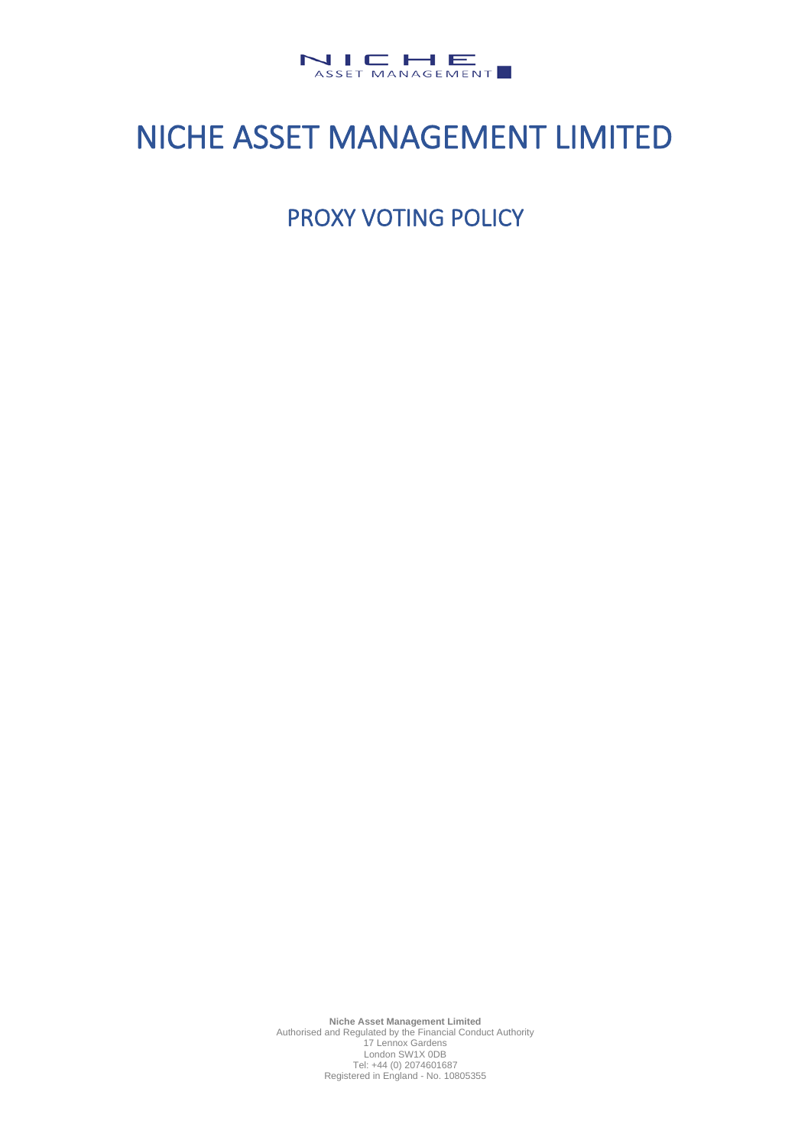

# NICHE ASSET MANAGEMENT LIMITED

PROXY VOTING POLICY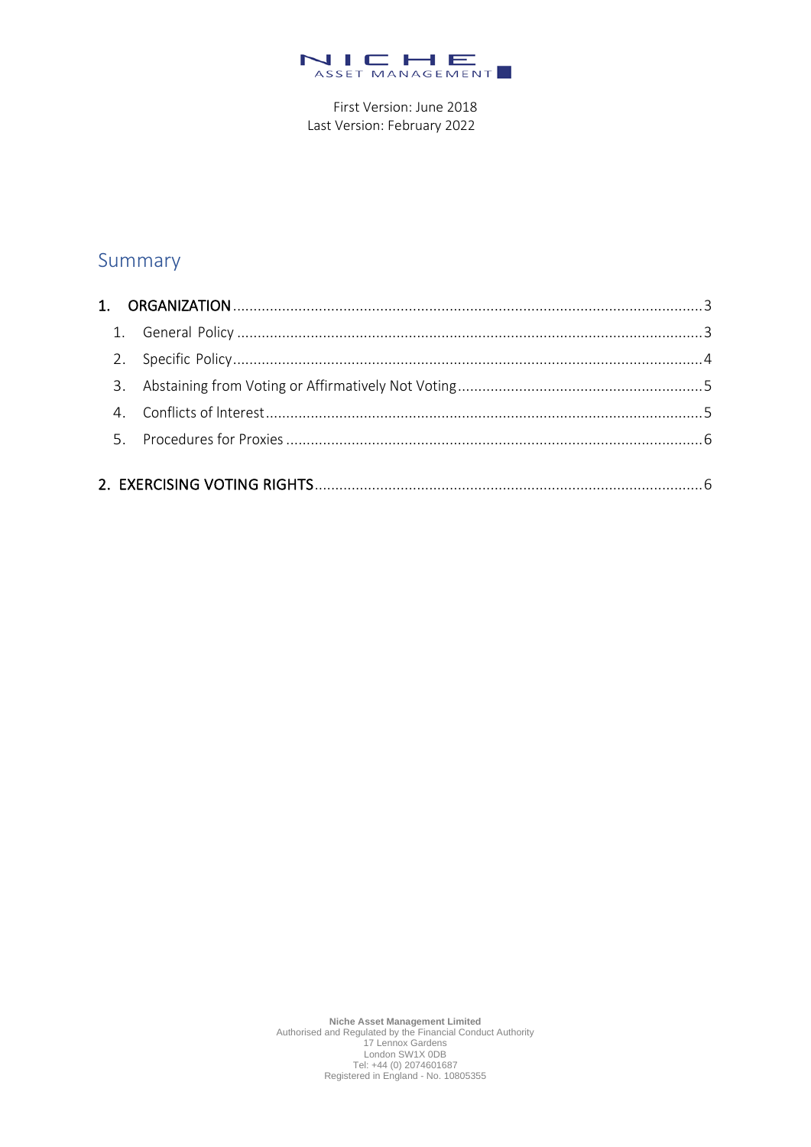

First Version: June 2018 Last Version: February 2022

## Summary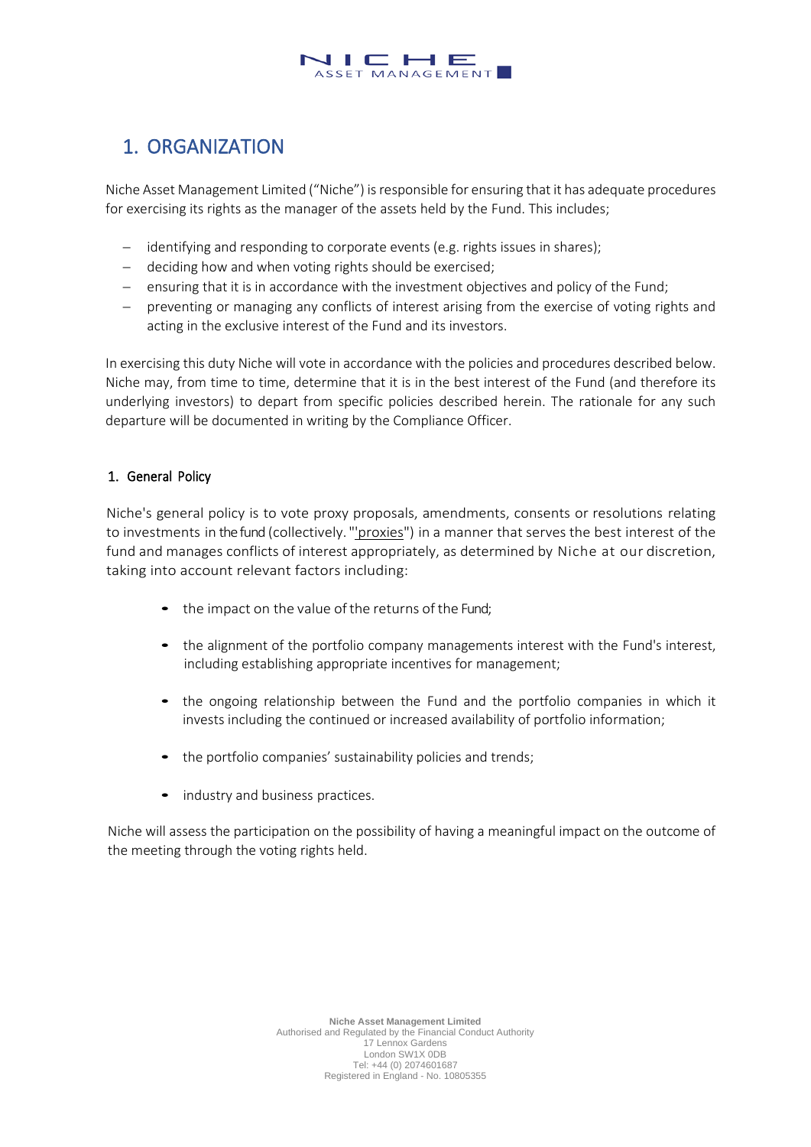#### $\Box$  $\vdash$   $\vdash$ ASSET MANAGEMENT

# <span id="page-2-0"></span>1. ORGANIZATION

Niche Asset Management Limited ("Niche") is responsible for ensuring that it has adequate procedures for exercising its rights as the manager of the assets held by the Fund. This includes;

- identifying and responding to corporate events (e.g. rights issues in shares);
- − deciding how and when voting rights should be exercised;
- − ensuring that it is in accordance with the investment objectives and policy of the Fund;
- − preventing or managing any conflicts of interest arising from the exercise of voting rights and acting in the exclusive interest of the Fund and its investors.

In exercising this duty Niche will vote in accordance with the policies and procedures described below. Niche may, from time to time, determine that it is in the best interest of the Fund (and therefore its underlying investors) to depart from specific policies described herein. The rationale for any such departure will be documented in writing by the Compliance Officer.

## <span id="page-2-1"></span>1. General Policy

Niche's general policy is to vote proxy proposals, amendments, consents or resolutions relating to investments in the fund (collectively. "'proxies") in a manner that serves the best interest of the fund and manages conflicts of interest appropriately, as determined by Niche at our discretion, taking into account relevant factors including:

- the impact on the value of the returns of the Fund;
- the alignment of the portfolio company managements interest with the Fund's interest, including establishing appropriate incentives for management;
- the ongoing relationship between the Fund and the portfolio companies in which it invests including the continued or increased availability of portfolio information;
- the portfolio companies' sustainability policies and trends;
- industry and business practices.

Niche will assess the participation on the possibility of having a meaningful impact on the outcome of the meeting through the voting rights held.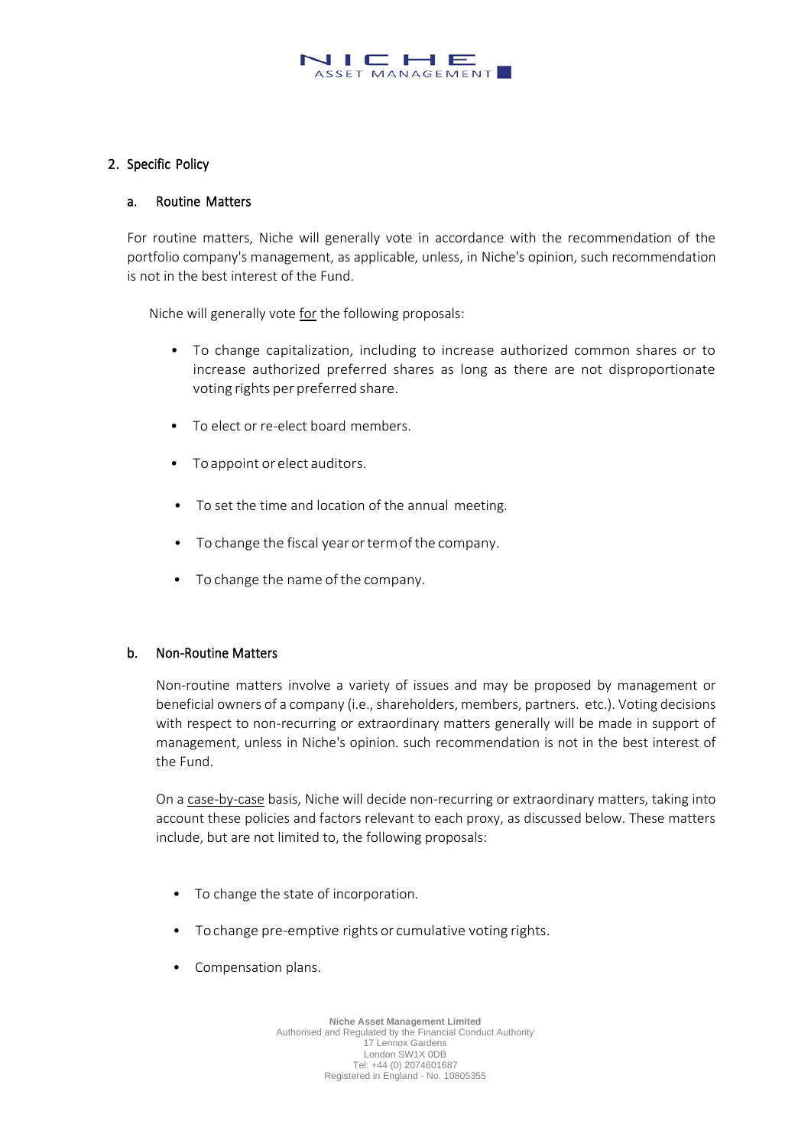#### $\Box$  $H E$ ASSET MANAGEMENT

#### <span id="page-3-0"></span>2. Specific Policy

#### a. Routine Matters

For routine matters, Niche will generally vote in accordance with the recommendation of the portfolio company's management, as applicable, unless, in Niche's opinion, such recommendation is not in the best interest of the Fund.

Niche will generally vote for the following proposals:

- To change capitalization, including to increase authorized common shares or to increase authorized preferred shares as long as there are not disproportionate voting rights per preferred share.
- To elect or re-elect board members.
- Toappoint or elect auditors.
- To set the time and location of the annual meeting.
- To change the fiscal year or term of the company.
- To change the name of the company.

#### b. Non-Routine Matters

Non-routine matters involve a variety of issues and may be proposed by management or beneficial owners of a company (i.e., shareholders, members, partners. etc.). Voting decisions with respect to non-recurring or extraordinary matters generally will be made in support of management, unless in Niche's opinion. such recommendation is not in the best interest of the Fund.

On a case-by-case basis, Niche will decide non-recurring or extraordinary matters, taking into account these policies and factors relevant to each proxy, as discussed below. These matters include, but are not limited to, the following proposals:

- To change the state of incorporation.
- Tochange pre-emptive rights or cumulative voting rights.
- Compensation plans.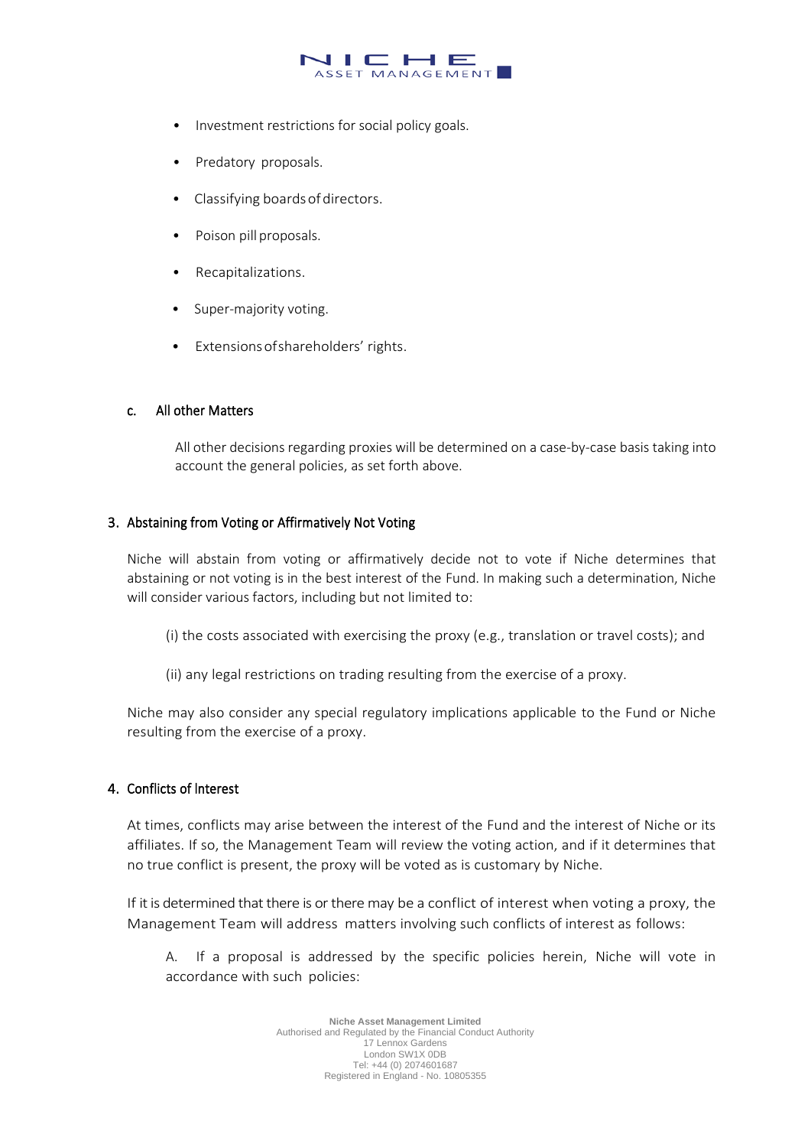#### J I C H E ASSET MANAGEMENT

- Investment restrictions for social policy goals.
- Predatory proposals.
- Classifying boardsofdirectors.
- Poison pill proposals.
- Recapitalizations.
- Super-majority voting.
- Extensions of shareholders' rights.

#### c. All other Matters

All other decisions regarding proxies will be determined on a case-by-case basis taking into account the general policies, as set forth above.

### <span id="page-4-0"></span>3. Abstaining from Voting or Affirmatively Not Voting

Niche will abstain from voting or affirmatively decide not to vote if Niche determines that abstaining or not voting is in the best interest of the Fund. In making such a determination, Niche will consider various factors, including but not limited to:

- (i) the costs associated with exercising the proxy (e.g., translation or travel costs); and
- (ii) any legal restrictions on trading resulting from the exercise of a proxy.

Niche may also consider any special regulatory implications applicable to the Fund or Niche resulting from the exercise of a proxy.

#### <span id="page-4-1"></span>4. Conflicts of lnterest

At times, conflicts may arise between the interest of the Fund and the interest of Niche or its affiliates. If so, the Management Team will review the voting action, and if it determines that no true conflict is present, the proxy will be voted as is customary by Niche.

If it is determined that there is or there may be a conflict of interest when voting a proxy, the Management Team will address matters involving such conflicts of interest as follows:

A. If a proposal is addressed by the specific policies herein, Niche will vote in accordance with such policies: